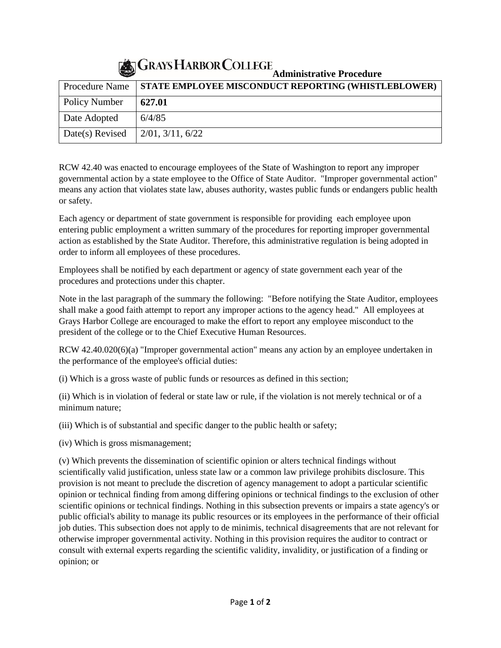## **Administrative Procedure**

| $\sim$               | Administrative Procedure                                   |
|----------------------|------------------------------------------------------------|
| Procedure Name       | <b>STATE EMPLOYEE MISCONDUCT REPORTING (WHISTLEBLOWER)</b> |
| <b>Policy Number</b> | 627.01                                                     |
| Date Adopted         | 6/4/85                                                     |
| Date(s) Revised      | $2/01$ , $3/11$ , $6/22$                                   |

RCW 42.40 was enacted to encourage employees of the State of Washington to report any improper governmental action by a state employee to the Office of State Auditor. "Improper governmental action" means any action that violates state law, abuses authority, wastes public funds or endangers public health or safety.

Each agency or department of state government is responsible for providing each employee upon entering public employment a written summary of the procedures for reporting improper governmental action as established by the State Auditor. Therefore, this administrative regulation is being adopted in order to inform all employees of these procedures.

Employees shall be notified by each department or agency of state government each year of the procedures and protections under this chapter.

Note in the last paragraph of the summary the following: "Before notifying the State Auditor, employees shall make a good faith attempt to report any improper actions to the agency head." All employees at Grays Harbor College are encouraged to make the effort to report any employee misconduct to the president of the college or to the Chief Executive Human Resources.

RCW 42.40.020(6)(a) "Improper governmental action" means any action by an employee undertaken in the performance of the employee's official duties:

(i) Which is a gross waste of public funds or resources as defined in this section;

(ii) Which is in violation of federal or state law or rule, if the violation is not merely technical or of a minimum nature;

(iii) Which is of substantial and specific danger to the public health or safety;

(iv) Which is gross mismanagement;

(v) Which prevents the dissemination of scientific opinion or alters technical findings without scientifically valid justification, unless state law or a common law privilege prohibits disclosure. This provision is not meant to preclude the discretion of agency management to adopt a particular scientific opinion or technical finding from among differing opinions or technical findings to the exclusion of other scientific opinions or technical findings. Nothing in this subsection prevents or impairs a state agency's or public official's ability to manage its public resources or its employees in the performance of their official job duties. This subsection does not apply to de minimis, technical disagreements that are not relevant for otherwise improper governmental activity. Nothing in this provision requires the auditor to contract or consult with external experts regarding the scientific validity, invalidity, or justification of a finding or opinion; or